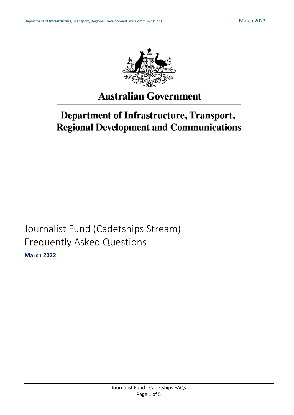

# **Australian Government**

# **Department of Infrastructure, Transport, Regional Development and Communications**

Journalist Fund (Cadetships Stream) Frequently Asked Questions **March 2022**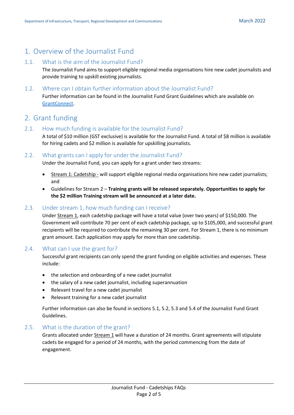# 1. Overview of the Journalist Fund

#### 1.1. What is the aim of the Journalist Fund?

The Journalist Fund aims to support eligible regional media organisations hire new cadet journalists and provide training to upskill existing journalists.

#### 1.2. Where can I obtain further information about the Journalist Fund?

Further information can be found in the Journalist Fund Grant Guidelines which are available on [GrantConnect.](http://www.grants.gov.au/)

## 2. Grant funding

#### 2.1. How much funding is available for the Journalist Fund?

A total of \$10 million (GST exclusive) is available for the Journalist Fund. A total of \$8 million is available for hiring cadets and \$2 million is available for upskilling journalists.

#### 2.2. What grants can I apply for under the Journalist Fund?

Under the Journalist Fund, you can apply for a grant under two streams:

- Stream 1: Cadetship will support eligible regional media organisations hire new cadet journalists; and
- Guidelines for Stream 2 **Training grants will be released separately. Opportunities to apply for the \$2 million Training stream will be announced at a later date.**

## 2.3. Under stream 1, how much funding can I receive?

Under Stream 1, each cadetship package will have a total value (over two years) of \$150,000. The Government will contribute 70 per cent of each cadetship package, up to \$105,000, and successful grant recipients will be required to contribute the remaining 30 per cent. For Stream 1, there is no minimum grant amount. Each application may apply for more than one cadetship.

#### 2.4. What can I use the grant for?

Successful grant recipients can only spend the grant funding on eligible activities and expenses. These include:

- the selection and onboarding of a new cadet journalist
- the salary of a new cadet journalist, including superannuation
- Relevant travel for a new cadet journalist
- Relevant training for a new cadet journalist

Further information can also be found in sections 5.1, 5.2, 5.3 and 5.4 of the Journalist Fund Grant Guidelines.

#### 2.5. What is the duration of the grant?

Grants allocated under Stream 1 will have a duration of 24 months. Grant agreements will stipulate cadets be engaged for a period of 24 months, with the period commencing from the date of engagement.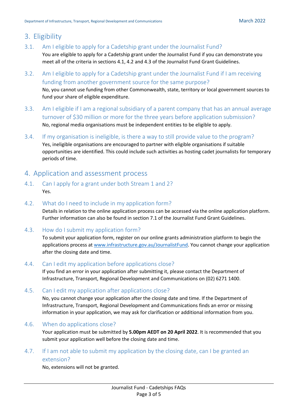# 3. Eligibility

- 3.1. Am I eligible to apply for a Cadetship grant under the Journalist Fund? You are eligible to apply for a Cadetship grant under the Journalist Fund if you can demonstrate you meet all of the criteria in sections 4.1, 4.2 and 4.3 of the Journalist Fund Grant Guidelines.
- 3.2. Am I eligible to apply for a Cadetship grant under the Journalist Fund if I am receiving funding from another government source for the same purpose? No, you cannot use funding from other Commonwealth, state, territory or local government sources to fund your share of eligible expenditure.
- 3.3. Am I eligible if I am a regional subsidiary of a parent company that has an annual average turnover of \$30 million or more for the three years before application submission? No, regional media organisations must be independent entities to be eligible to apply.
- 3.4. If my organisation is ineligible, is there a way to still provide value to the program? Yes, ineligible organisations are encouraged to partner with eligible organisations if suitable opportunities are identified. This could include such activities as hosting cadet journalists for temporary periods of time.

# 4. Application and assessment process

- 4.1. Can I apply for a grant under both Stream 1 and 2? Yes.
- 4.2. What do I need to include in my application form?

Details in relation to the online application process can be accessed via the online application platform. Further information can also be found in section 7.1 of the Journalist Fund Grant Guidelines.

4.3. How do I submit my application form?

To submit your application form, register on our online grants administration platform to begin the applications process at [www.infrastructure.gov.au/JournalistFund.](http://www.infrastructure.gov.au/JournalistFund) You cannot change your application after the closing date and time.

## 4.4. Can I edit my application before applications close?

If you find an error in your application after submitting it, please contact the Department of Infrastructure, Transport, Regional Development and Communications on (02) 6271 1400.

#### 4.5. Can I edit my application after applications close?

No, you cannot change your application after the closing date and time. If the Department of Infrastructure, Transport, Regional Development and Communications finds an error or missing information in your application, we may ask for clarification or additional information from you.

#### 4.6. When do applications close?

Your application must be submitted by **5.00pm AEDT on 20 April 2022**. It is recommended that you submit your application well before the closing date and time.

## 4.7. If I am not able to submit my application by the closing date, can I be granted an extension?

No, extensions will not be granted.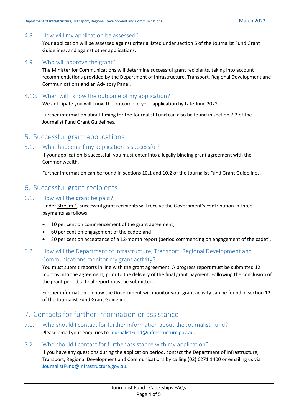#### 4.8. How will my application be assessed?

Your application will be assessed against criteria listed under section 6 of the Journalist Fund Grant Guidelines, and against other applications.

#### 4.9. Who will approve the grant?

The Minister for Communications will determine successful grant recipients, taking into account recommendations provided by the Department of Infrastructure, Transport, Regional Development and Communications and an Advisory Panel.

#### 4.10. When will I know the outcome of my application?

We anticipate you will know the outcome of your application by Late June 2022.

Further information about timing for the Journalist Fund can also be found in section 7.2 of the Journalist Fund Grant Guidelines.

## 5. Successful grant applications

#### 5.1. What happens if my application is successful?

If your application is successful, you must enter into a legally binding grant agreement with the Commonwealth.

Further information can be found in sections 10.1 and 10.2 of the Journalist Fund Grant Guidelines.

## 6. Successful grant recipients

#### 6.1. How will the grant be paid?

Under Stream 1, successful grant recipients will receive the Government's contribution in three payments as follows:

- 10 per cent on commencement of the grant agreement;
- 60 per cent on engagement of the cadet; and
- 30 per cent on acceptance of a 12-month report (period commencing on engagement of the cadet).

## 6.2. How will the Department of Infrastructure, Transport, Regional Development and Communications monitor my grant activity?

You must submit reports in line with the grant agreement. A progress report must be submitted 12 months into the agreement, prior to the delivery of the final grant payment. Following the conclusion of the grant period, a final report must be submitted.

Further information on how the Government will monitor your grant activity can be found in section 12 of the Journalist Fund Grant Guidelines.

# 7. Contacts for further information or assistance

7.1. Who should I contact for further information about the Journalist Fund? Please email your enquiries t[o JournalistFund@infrastructure.gov.au.](mailto:JournalistFund@infrastructure.gov.au)

#### 7.2. Who should I contact for further assistance with my application?

If you have any questions during the application period, contact the Department of Infrastructure, Transport, Regional Development and Communications by calling (02) 6271 1400 or emailing us via [JournalistFund@Infrastructure.gov.au.](mailto:JournalistFund@Infrastructure.gov.au)